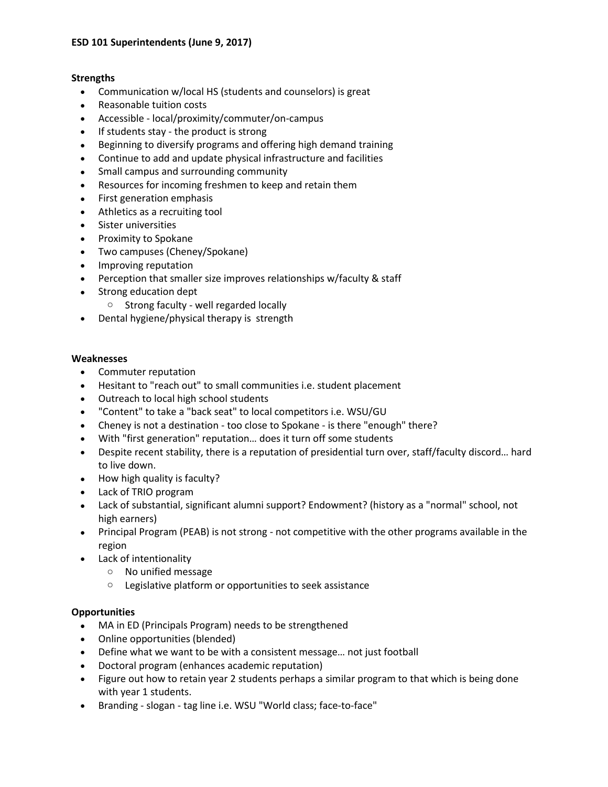### **Strengths**

- Communication w/local HS (students and counselors) is great
- Reasonable tuition costs
- Accessible local/proximity/commuter/on-campus
- If students stay the product is strong
- Beginning to diversify programs and offering high demand training
- Continue to add and update physical infrastructure and facilities
- Small campus and surrounding community
- Resources for incoming freshmen to keep and retain them
- First generation emphasis
- Athletics as a recruiting tool
- Sister universities
- Proximity to Spokane
- Two campuses (Cheney/Spokane)
- Improving reputation
- Perception that smaller size improves relationships w/faculty & staff
- Strong education dept
	- o Strong faculty well regarded locally
- Dental hygiene/physical therapy is strength

#### **Weaknesses**

- Commuter reputation
- Hesitant to "reach out" to small communities i.e. student placement
- Outreach to local high school students
- "Content" to take a "back seat" to local competitors i.e. WSU/GU
- Cheney is not a destination too close to Spokane is there "enough" there?
- With "first generation" reputation… does it turn off some students
- Despite recent stability, there is a reputation of presidential turn over, staff/faculty discord… hard to live down.
- How high quality is faculty?
- Lack of TRIO program
- Lack of substantial, significant alumni support? Endowment? (history as a "normal" school, not high earners)
- Principal Program (PEAB) is not strong not competitive with the other programs available in the region
- Lack of intentionality
	- o No unified message
	- o Legislative platform or opportunities to seek assistance

### **Opportunities**

- MA in ED (Principals Program) needs to be strengthened
- Online opportunities (blended)
- Define what we want to be with a consistent message… not just football
- Doctoral program (enhances academic reputation)
- Figure out how to retain year 2 students perhaps a similar program to that which is being done with year 1 students.
- Branding slogan tag line i.e. WSU "World class; face-to-face"